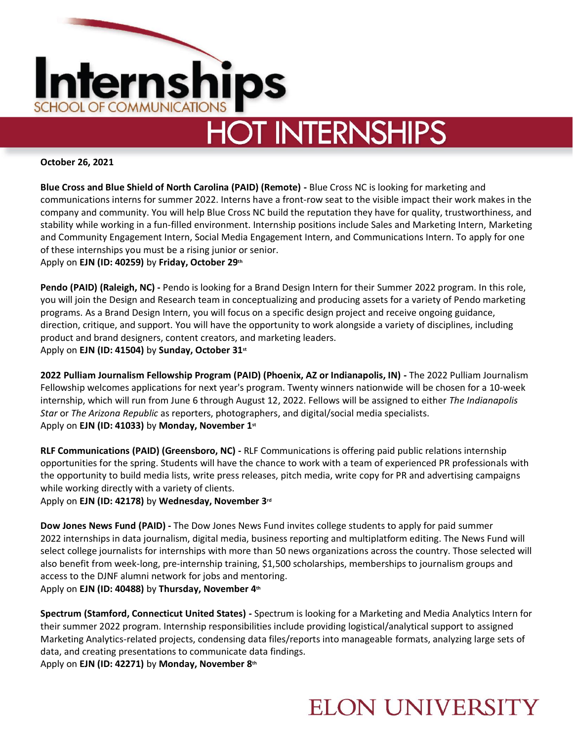

# **HOT INTERNSHIPS**

#### **October 26, 2021**

**Blue Cross and Blue Shield of North Carolina (PAID) (Remote) -** Blue Cross NC is looking for marketing and communications interns for summer 2022. Interns have a front-row seat to the visible impact their work makes in the company and community. You will help Blue Cross NC build the reputation they have for quality, trustworthiness, and stability while working in a fun-filled environment. Internship positions include Sales and Marketing Intern, Marketing and Community Engagement Intern, Social Media Engagement Intern, and Communications Intern. To apply for one of these internships you must be a rising junior or senior.

Apply on **EJN (ID: 40259)** by **Friday, October 29th**

Pendo (PAID) (Raleigh, NC) - Pendo is looking for a Brand Design Intern for their Summer 2022 program. In this role, you will join the Design and Research team in conceptualizing and producing assets for a variety of Pendo marketing programs. As a Brand Design Intern, you will focus on a specific design project and receive ongoing guidance, direction, critique, and support. You will have the opportunity to work alongside a variety of disciplines, including product and brand designers, content creators, and marketing leaders. Apply on **EJN (ID: 41504)** by **Sunday, October 31st**

**2022 Pulliam Journalism Fellowship Program (PAID) (Phoenix, AZ or Indianapolis, IN) -** The 2022 Pulliam Journalism Fellowship welcomes applications for next year's program. Twenty winners nationwide will be chosen for a 10-week internship, which will run from June 6 through August 12, 2022. Fellows will be assigned to either *The Indianapolis Star* or *The Arizona Republic* as reporters, photographers, and digital/social media specialists. Apply on **EJN (ID: 41033)** by **Monday, November 1st**

**RLF Communications (PAID) (Greensboro, NC) -** RLF Communications is offering paid public relations internship opportunities for the spring. Students will have the chance to work with a team of experienced PR professionals with the opportunity to build media lists, write press releases, pitch media, write copy for PR and advertising campaigns while working directly with a variety of clients.

Apply on **EJN (ID: 42178)** by **Wednesday, November 3rd**

**Dow Jones News Fund (PAID) -** The Dow Jones News Fund invites college students to apply for paid summer 2022 internships in data journalism, digital media, business reporting and multiplatform editing. The News Fund will select college journalists for internships with more than 50 news organizations across the country. Those selected will also benefit from week-long, pre-internship training, \$1,500 scholarships, memberships to journalism groups and access to the DJNF alumni network for jobs and mentoring. Apply on **EJN (ID: 40488)** by **Thursday, November 4th**

**Spectrum (Stamford, Connecticut United States) -** Spectrum is looking for a Marketing and Media Analytics Intern for their summer 2022 program. Internship responsibilities include providing logistical/analytical support to assigned Marketing Analytics-related projects, condensing data files/reports into manageable formats, analyzing large sets of data, and creating presentations to communicate data findings. Apply on **EJN (ID: 42271)** by **Monday, November 8th**

### **ELON UNIVERSITY**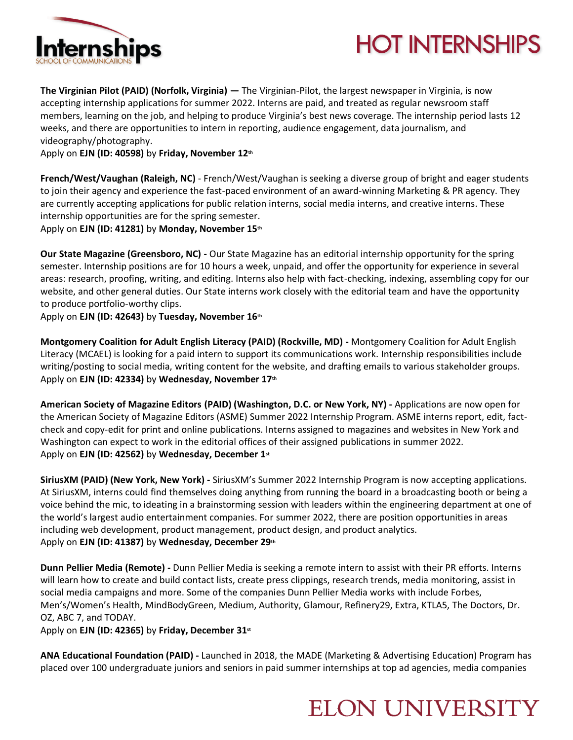

## **HOT INTERNSHIPS**

**The Virginian Pilot (PAID) (Norfolk, Virginia) —** The Virginian-Pilot, the largest newspaper in Virginia, is now accepting internship applications for summer 2022. Interns are paid, and treated as regular newsroom staff members, learning on the job, and helping to produce Virginia's best news coverage. The internship period lasts 12 weeks, and there are opportunities to intern in reporting, audience engagement, data journalism, and videography/photography.

Apply on **EJN (ID: 40598)** by **Friday, November 12th**

**French/West/Vaughan (Raleigh, NC)** - French/West/Vaughan is seeking a diverse group of bright and eager students to join their agency and experience the fast-paced environment of an award-winning Marketing & PR agency. They are currently accepting applications for public relation interns, social media interns, and creative interns. These internship opportunities are for the spring semester.

Apply on **EJN (ID: 41281)** by **Monday, November 15th**

**Our State Magazine (Greensboro, NC) -** Our State Magazine has an editorial internship opportunity for the spring semester. Internship positions are for 10 hours a week, unpaid, and offer the opportunity for experience in several areas: research, proofing, writing, and editing. Interns also help with fact-checking, indexing, assembling copy for our website, and other general duties. Our State interns work closely with the editorial team and have the opportunity to produce portfolio-worthy clips.

Apply on **EJN (ID: 42643)** by **Tuesday, November 16th**

**Montgomery Coalition for Adult English Literacy (PAID) (Rockville, MD) -** Montgomery Coalition for Adult English Literacy (MCAEL) is looking for a paid intern to support its communications work. Internship responsibilities include writing/posting to social media, writing content for the website, and drafting emails to various stakeholder groups. Apply on **EJN (ID: 42334)** by **Wednesday, November 17th**

**American Society of Magazine Editors (PAID) (Washington, D.C. or New York, NY) -** Applications are now open for the American Society of Magazine Editors (ASME) Summer 2022 Internship Program. ASME interns report, edit, factcheck and copy-edit for print and online publications. Interns assigned to magazines and websites in New York and Washington can expect to work in the editorial offices of their assigned publications in summer 2022. Apply on **EJN (ID: 42562)** by **Wednesday, December 1st**

**SiriusXM (PAID) (New York, New York) -** SiriusXM's Summer 2022 Internship Program is now accepting applications. At SiriusXM, interns could find themselves doing anything from running the board in a broadcasting booth or being a voice behind the mic, to ideating in a brainstorming session with leaders within the engineering department at one of the world's largest audio entertainment companies. For summer 2022, there are position opportunities in areas including web development, product management, product design, and product analytics. Apply on **EJN (ID: 41387)** by **Wednesday, December 29th**

**Dunn Pellier Media (Remote) -** Dunn Pellier Media is seeking a remote intern to assist with their PR efforts. Interns will learn how to create and build contact lists, create press clippings, research trends, media monitoring, assist in social media campaigns and more. Some of the companies Dunn Pellier Media works with include Forbes, Men's/Women's Health, MindBodyGreen, Medium, Authority, Glamour, Refinery29, Extra, KTLA5, The Doctors, Dr. OZ, ABC 7, and TODAY.

Apply on **EJN (ID: 42365)** by **Friday, December 31st**

**ANA Educational Foundation (PAID) -** Launched in 2018, the MADE (Marketing & Advertising Education) Program has placed over 100 undergraduate juniors and seniors in paid summer internships at top ad agencies, media companies

### **ELON UNIVERSITY**